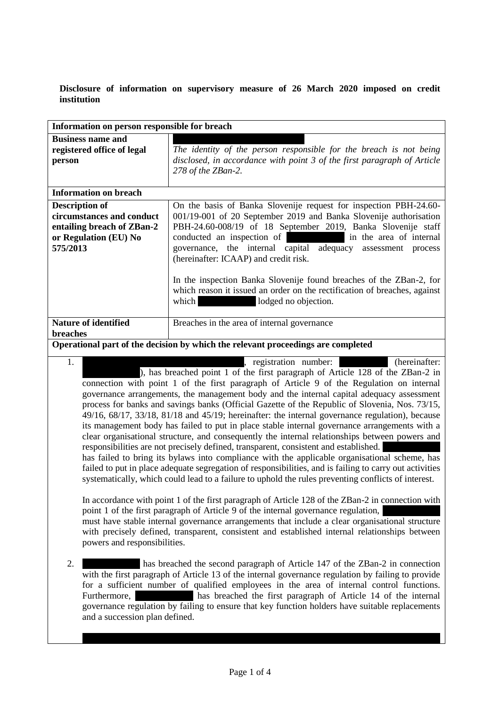**Disclosure of information on supervisory measure of 26 March 2020 imposed on credit institution**

| Information on person responsible for breach                                                                                                                                                                                                                                                                                                                                                                                                                                                                                                                                                                                                                                                                                                                                                                                                                                                                                                                                                                                                                                                                                                 |                                                                                                                                                                                                                                                                                                                                                                             |
|----------------------------------------------------------------------------------------------------------------------------------------------------------------------------------------------------------------------------------------------------------------------------------------------------------------------------------------------------------------------------------------------------------------------------------------------------------------------------------------------------------------------------------------------------------------------------------------------------------------------------------------------------------------------------------------------------------------------------------------------------------------------------------------------------------------------------------------------------------------------------------------------------------------------------------------------------------------------------------------------------------------------------------------------------------------------------------------------------------------------------------------------|-----------------------------------------------------------------------------------------------------------------------------------------------------------------------------------------------------------------------------------------------------------------------------------------------------------------------------------------------------------------------------|
| <b>Business name and</b><br>registered office of legal<br>person                                                                                                                                                                                                                                                                                                                                                                                                                                                                                                                                                                                                                                                                                                                                                                                                                                                                                                                                                                                                                                                                             | The identity of the person responsible for the breach is not being<br>disclosed, in accordance with point 3 of the first paragraph of Article<br>278 of the ZBan-2.                                                                                                                                                                                                         |
| <b>Information on breach</b>                                                                                                                                                                                                                                                                                                                                                                                                                                                                                                                                                                                                                                                                                                                                                                                                                                                                                                                                                                                                                                                                                                                 |                                                                                                                                                                                                                                                                                                                                                                             |
| <b>Description of</b><br>circumstances and conduct<br>entailing breach of ZBan-2<br>or Regulation (EU) No<br>575/2013                                                                                                                                                                                                                                                                                                                                                                                                                                                                                                                                                                                                                                                                                                                                                                                                                                                                                                                                                                                                                        | On the basis of Banka Slovenije request for inspection PBH-24.60-<br>001/19-001 of 20 September 2019 and Banka Slovenije authorisation<br>PBH-24.60-008/19 of 18 September 2019, Banka Slovenije staff<br>conducted an inspection of<br>in the area of internal<br>governance, the internal capital adequacy<br>assessment process<br>(hereinafter: ICAAP) and credit risk. |
|                                                                                                                                                                                                                                                                                                                                                                                                                                                                                                                                                                                                                                                                                                                                                                                                                                                                                                                                                                                                                                                                                                                                              | In the inspection Banka Slovenije found breaches of the ZBan-2, for<br>which reason it issued an order on the rectification of breaches, against<br>lodged no objection.<br>which                                                                                                                                                                                           |
| <b>Nature of identified</b><br>breaches                                                                                                                                                                                                                                                                                                                                                                                                                                                                                                                                                                                                                                                                                                                                                                                                                                                                                                                                                                                                                                                                                                      | Breaches in the area of internal governance                                                                                                                                                                                                                                                                                                                                 |
| Operational part of the decision by which the relevant proceedings are completed                                                                                                                                                                                                                                                                                                                                                                                                                                                                                                                                                                                                                                                                                                                                                                                                                                                                                                                                                                                                                                                             |                                                                                                                                                                                                                                                                                                                                                                             |
| , registration number:<br>(hereinafter:<br>1.<br>), has breached point 1 of the first paragraph of Article 128 of the ZBan-2 in<br>connection with point 1 of the first paragraph of Article 9 of the Regulation on internal<br>governance arrangements, the management body and the internal capital adequacy assessment<br>process for banks and savings banks (Official Gazette of the Republic of Slovenia, Nos. 73/15,<br>49/16, 68/17, 33/18, 81/18 and 45/19; hereinafter: the internal governance regulation), because<br>its management body has failed to put in place stable internal governance arrangements with a<br>clear organisational structure, and consequently the internal relationships between powers and<br>responsibilities are not precisely defined, transparent, consistent and established.<br>has failed to bring its bylaws into compliance with the applicable organisational scheme, has<br>failed to put in place adequate segregation of responsibilities, and is failing to carry out activities<br>systematically, which could lead to a failure to uphold the rules preventing conflicts of interest. |                                                                                                                                                                                                                                                                                                                                                                             |
| In accordance with point 1 of the first paragraph of Article 128 of the ZBan-2 in connection with<br>point 1 of the first paragraph of Article 9 of the internal governance regulation,<br>must have stable internal governance arrangements that include a clear organisational structure<br>with precisely defined, transparent, consistent and established internal relationships between<br>powers and responsibilities.                                                                                                                                                                                                                                                                                                                                                                                                                                                                                                                                                                                                                                                                                                                 |                                                                                                                                                                                                                                                                                                                                                                             |
| 2.<br>has breached the second paragraph of Article 147 of the ZBan-2 in connection<br>with the first paragraph of Article 13 of the internal governance regulation by failing to provide<br>for a sufficient number of qualified employees in the area of internal control functions.<br>has breached the first paragraph of Article 14 of the internal<br>Furthermore,<br>governance regulation by failing to ensure that key function holders have suitable replacements<br>and a succession plan defined.                                                                                                                                                                                                                                                                                                                                                                                                                                                                                                                                                                                                                                 |                                                                                                                                                                                                                                                                                                                                                                             |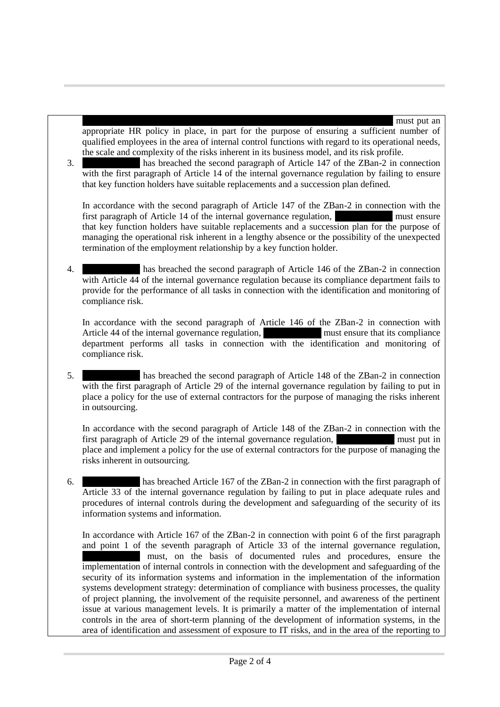appropriate HR policy in place, in part for the purpose of ensuring a sufficient number of qualified employees in the area of internal control functions with regard to its operational needs, the scale and complexity of the risks inherent in its business model, and its risk profile.

3. ………………. has breached the second paragraph of Article 147 of the ZBan-2 in connection with the first paragraph of Article 14 of the internal governance regulation by failing to ensure that key function holders have suitable replacements and a succession plan defined.

In accordance with the second paragraph of Article 147 of the ZBan-2 in connection with the first paragraph of Article 14 of the internal governance regulation, must ensure that key function holders have suitable replacements and a succession plan for the purpose of managing the operational risk inherent in a lengthy absence or the possibility of the unexpected termination of the employment relationship by a key function holder.

4. ………………. has breached the second paragraph of Article 146 of the ZBan-2 in connection with Article 44 of the internal governance regulation because its compliance department fails to provide for the performance of all tasks in connection with the identification and monitoring of compliance risk.

In accordance with the second paragraph of Article 146 of the ZBan-2 in connection with Article 44 of the internal governance regulation, must ensure that its compliance department performs all tasks in connection with the identification and monitoring of compliance risk.

5. ………………. has breached the second paragraph of Article 148 of the ZBan-2 in connection with the first paragraph of Article 29 of the internal governance regulation by failing to put in place a policy for the use of external contractors for the purpose of managing the risks inherent in outsourcing.

In accordance with the second paragraph of Article 148 of the ZBan-2 in connection with the first paragraph of Article 29 of the internal governance regulation, must put in place and implement a policy for the use of external contractors for the purpose of managing the risks inherent in outsourcing.

6. ………………. has breached Article 167 of the ZBan-2 in connection with the first paragraph of Article 33 of the internal governance regulation by failing to put in place adequate rules and procedures of internal controls during the development and safeguarding of the security of its information systems and information.

In accordance with Article 167 of the ZBan-2 in connection with point 6 of the first paragraph and point 1 of the seventh paragraph of Article 33 of the internal governance regulation, must, on the basis of documented rules and procedures, ensure the implementation of internal controls in connection with the development and safeguarding of the security of its information systems and information in the implementation of the information systems development strategy: determination of compliance with business processes, the quality of project planning, the involvement of the requisite personnel, and awareness of the pertinent issue at various management levels. It is primarily a matter of the implementation of internal controls in the area of short-term planning of the development of information systems, in the area of identification and assessment of exposure to IT risks, and in the area of the reporting to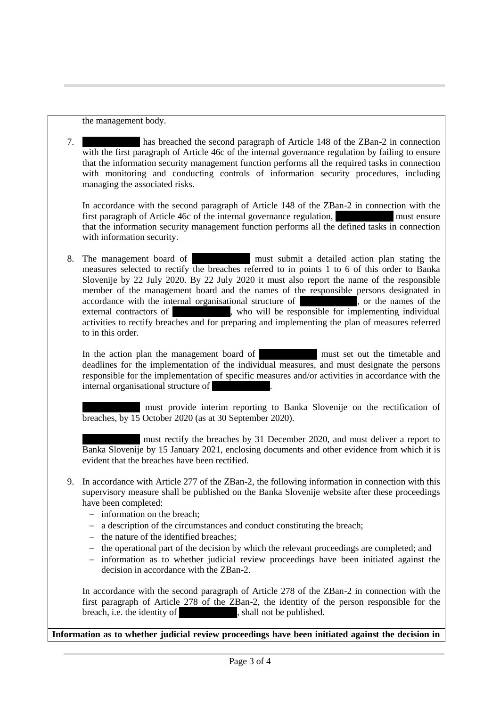the management body.

7. ………………. has breached the second paragraph of Article 148 of the ZBan-2 in connection with the first paragraph of Article 46c of the internal governance regulation by failing to ensure that the information security management function performs all the required tasks in connection with monitoring and conducting controls of information security procedures, including managing the associated risks.

In accordance with the second paragraph of Article 148 of the ZBan-2 in connection with the first paragraph of Article 46c of the internal governance regulation. first paragraph of Article 46c of the internal governance regulation, that the information security management function performs all the defined tasks in connection with information security.

8. The management board of **Exercise 2.** must submit a detailed action plan stating the measures selected to rectify the breaches referred to in points 1 to 6 of this order to Banka Slovenije by 22 July 2020. By 22 July 2020 it must also report the name of the responsible member of the management board and the names of the responsible persons designated in accordance with the internal organisational structure of **1. The internal organisational structure** of **n**, or the names of the external contractors of who will be responsible for implementing individual activities to rectify breaches and for preparing and implementing the plan of measures referred to in this order.

In the action plan the management board of must set out the timetable and deadlines for the implementation of the individual measures, and must designate the persons responsible for the implementation of specific measures and/or activities in accordance with the internal organisational structure of

………………. must provide interim reporting to Banka Slovenije on the rectification of breaches, by 15 October 2020 (as at 30 September 2020).

must rectify the breaches by 31 December 2020, and must deliver a report to Banka Slovenije by 15 January 2021, enclosing documents and other evidence from which it is evident that the breaches have been rectified.

- 9. In accordance with Article 277 of the ZBan-2, the following information in connection with this supervisory measure shall be published on the Banka Slovenije website after these proceedings have been completed:
	- information on the breach;
	- a description of the circumstances and conduct constituting the breach;
	- $-$  the nature of the identified breaches;
	- $-$  the operational part of the decision by which the relevant proceedings are completed; and
	- $\overline{\phantom{a}}$  information as to whether judicial review proceedings have been initiated against the decision in accordance with the ZBan-2.

In accordance with the second paragraph of Article 278 of the ZBan-2 in connection with the first paragraph of Article 278 of the ZBan-2, the identity of the person responsible for the breach, i.e. the identity of **with shall not be published.** 

**Information as to whether judicial review proceedings have been initiated against the decision in**